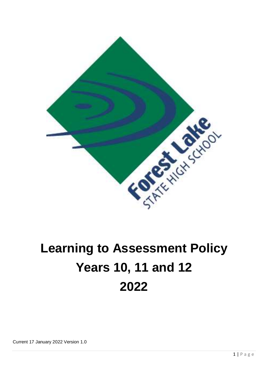

# **Learning to Assessment Policy Years 10, 11 and 12 2022**

Current 17 January 2022 Version 1.0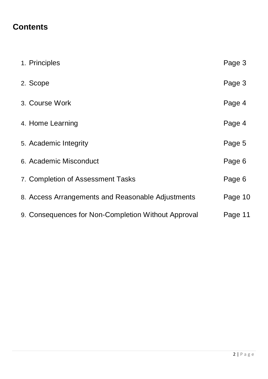# **Contents**

| 1. Principles                                       | Page 3  |
|-----------------------------------------------------|---------|
| 2. Scope                                            | Page 3  |
| 3. Course Work                                      | Page 4  |
| 4. Home Learning                                    | Page 4  |
| 5. Academic Integrity                               | Page 5  |
| 6. Academic Misconduct                              | Page 6  |
| 7. Completion of Assessment Tasks                   | Page 6  |
| 8. Access Arrangements and Reasonable Adjustments   | Page 10 |
| 9. Consequences for Non-Completion Without Approval | Page 11 |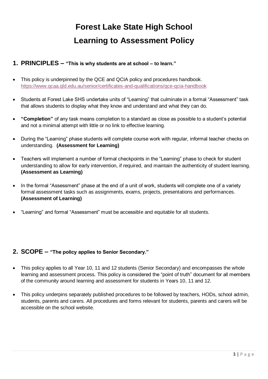# **Forest Lake State High School Learning to Assessment Policy**

#### **1. PRINCIPLES – "This is why students are at school – to learn."**

- This policy is underpinned by the QCE and QCIA policy and procedures handbook. <https://www.qcaa.qld.edu.au/senior/certificates-and-qualifications/qce-qcia-handbook>
- Students at Forest Lake SHS undertake units of "Learning" that culminate in a formal "Assessment" task that allows students to display what they know and understand and what they can do.
- **"Completion"** of any task means completion to a standard as close as possible to a student's potential and not a minimal attempt with little or no link to effective learning.
- During the "Learning" phase students will complete course work with regular, informal teacher checks on understanding. **(Assessment for Learning)**
- Teachers will implement a number of formal checkpoints in the "Learning" phase to check for student understanding to allow for early intervention, if required, and maintain the authenticity of student learning. **(Assessment as Learning)**
- In the formal "Assessment" phase at the end of a unit of work, students will complete one of a variety formal assessment tasks such as assignments, exams, projects, presentations and performances. **(Assessment of Learning)**
- "Learning" and formal "Assessment" must be accessible and equitable for all students.

#### **2. SCOPE – "The policy applies to Senior Secondary."**

- This policy applies to all Year 10, 11 and 12 students (Senior Secondary) and encompasses the whole learning and assessment process. This policy is considered the "point of truth" document for all members of the community around learning and assessment for students in Years 10, 11 and 12.
- This policy underpins separately published procedures to be followed by teachers, HODs, school admin, students, parents and carers. All procedures and forms relevant for students, parents and carers will be accessible on the school website.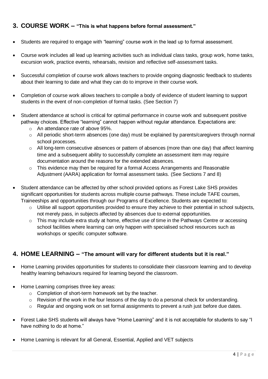#### **3. COURSE WORK – "This is what happens before formal assessment."**

- Students are required to engage with "learning" course work in the lead up to formal assessment.
- Course work includes all lead up learning activities such as individual class tasks, group work, home tasks, excursion work, practice events, rehearsals, revision and reflective self-assessment tasks.
- Successful completion of course work allows teachers to provide ongoing diagnostic feedback to students about their learning to date and what they can do to improve in their course work.
- Completion of course work allows teachers to compile a body of evidence of student learning to support students in the event of non-completion of formal tasks. (See Section 7)
- Student attendance at school is critical for optimal performance in course work and subsequent positive pathway choices. Effective "learning" cannot happen without regular attendance. Expectations are:
	- o An attendance rate of above 95%.
	- o All periodic short-term absences (one day) must be explained by parents/caregivers through normal school processes.
	- o All long-term consecutive absences or pattern of absences (more than one day) that affect learning time and a subsequent ability to successfully complete an assessment item may require documentation around the reasons for the extended absences.
	- $\circ$  This evidence may then be required for a formal Access Arrangements and Reasonable Adjustment (AARA) application for formal assessment tasks. (See Sections 7 and 8)
- Student attendance can be affected by other school provided options as Forest Lake SHS provides significant opportunities for students across multiple course pathways. These include TAFE courses, Traineeships and opportunities through our Programs of Excellence. Students are expected to:
	- o Utilise all support opportunities provided to ensure they achieve to their potential in school subjects, not merely pass, in subjects affected by absences due to external opportunities.
	- o This may include extra study at home, effective use of time in the Pathways Centre or accessing school facilities where learning can only happen with specialised school resources such as workshops or specific computer software.

#### **4. HOME LEARNING – "The amount will vary for different students but it is real."**

- Home Learning provides opportunities for students to consolidate their classroom learning and to develop healthy learning behaviours required for learning beyond the classroom.
- Home Learning comprises three key areas:
	- o Completion of short-term homework set by the teacher.
	- o Revision of the work in the four lessons of the day to do a personal check for understanding.
	- o Regular and ongoing work on set formal assignments to prevent a rush just before due dates.
- Forest Lake SHS students will always have "Home Learning" and it is not acceptable for students to say "I have nothing to do at home."
- Home Learning is relevant for all General, Essential, Applied and VET subjects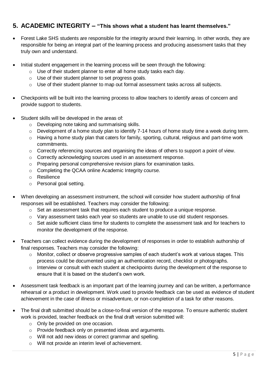#### **5. ACADEMIC INTEGRITY – "This shows what a student has learnt themselves."**

- Forest Lake SHS students are responsible for the integrity around their learning. In other words, they are responsible for being an integral part of the learning process and producing assessment tasks that they truly own and understand.
- Initial student engagement in the learning process will be seen through the following:
	- o Use of their student planner to enter all home study tasks each day.
	- o Use of their student planner to set progress goals.
	- $\circ$  Use of their student planner to map out formal assessment tasks across all subjects.
- Checkpoints will be built into the learning process to allow teachers to identify areas of concern and provide support to students.
- Student skills will be developed in the areas of:
	- o Developing note taking and summarising skills.
	- $\circ$  Development of a home study plan to identify 7-14 hours of home study time a week during term.
	- $\circ$  Having a home study plan that caters for family, sporting, cultural, religious and part-time work commitments.
	- o Correctly referencing sources and organising the ideas of others to support a point of view.
	- o Correctly acknowledging sources used in an assessment response.
	- o Preparing personal comprehensive revision plans for examination tasks.
	- o Completing the QCAA online Academic Integrity course.
	- o Resilience
	- o Personal goal setting.
- When developing an assessment instrument, the school will consider how student authorship of final responses will be established. Teachers may consider the following:
	- $\circ$  Set an assessment task that requires each student to produce a unique response.
	- $\circ$  Vary assessment tasks each year so students are unable to use old student responses.
	- o Set aside sufficient class time for students to complete the assessment task and for teachers to monitor the development of the response.
- Teachers can collect evidence during the development of responses in order to establish authorship of final responses. Teachers may consider the following:
	- $\circ$  Monitor, collect or observe progressive samples of each student's work at various stages. This process could be documented using an authentication record, checklist or photographs.
	- $\circ$  Interview or consult with each student at checkpoints during the development of the response to ensure that it is based on the student's own work.
- Assessment task feedback is an important part of the learning journey and can be written, a performance rehearsal or a product in development. Work used to provide feedback can be used as evidence of student achievement in the case of illness or misadventure, or non-completion of a task for other reasons.
- The final draft submitted should be a close-to-final version of the response. To ensure authentic student work is provided, teacher feedback on the final draft version submitted will:
	- o Only be provided on one occasion.
	- o Provide feedback only on presented ideas and arguments.
	- o Will not add new ideas or correct grammar and spelling.
	- o Will not provide an interim level of achievement.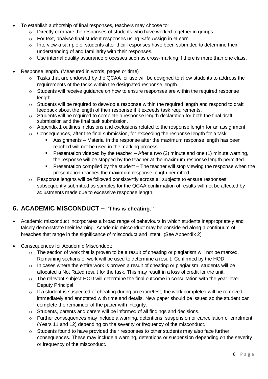- To establish authorship of final responses, teachers may choose to:
	- o Directly compare the responses of students who have worked together in groups.
	- o For text, analyse final student responses using Safe Assign in eLearn.
	- $\circ$  Interview a sample of students after their responses have been submitted to determine their understanding of and familiarity with their responses.
	- $\circ$  Use internal quality assurance processes such as cross-marking if there is more than one class.
- Response length. (Measured in words, pages or time)
	- $\circ$  Tasks that are endorsed by the QCAA for use will be designed to allow students to address the requirements of the tasks within the designated response length.
	- o Students will receive guidance on how to ensure responses are within the required response length.
	- $\circ$  Students will be required to develop a response within the required length and respond to draft feedback about the length of their response if it exceeds task requirements.
	- o Students will be required to complete a response length declaration for both the final draft submission and the final task submission.
	- $\circ$  Appendix 1 outlines inclusions and exclusions related to the response length for an assignment.
	- $\circ$  Consequences, after the final submission, for exceeding the response length for a task:
		- Assignments Material in the response after the maximum response length has been reached will not be used in the marking process.
		- **•** Presentation videoed by the teacher  $-$  After a two (2) minute and one (1) minute warning, the response will be stopped by the teacher at the maximum response length permitted.
		- Presentation compiled by the student The teacher will stop viewing the response when the presentation reaches the maximum response length permitted.
	- o Response lengths will be followed consistently across all subjects to ensure responses subsequently submitted as samples for the QCAA confirmation of results will not be affected by adjustments made due to excessive response length.

#### **6. ACADEMIC MISCONDUCT – "This is cheating."**

- Academic misconduct incorporates a broad range of behaviours in which students inappropriately and falsely demonstrate their learning. Academic misconduct may be considered along a continuum of breaches that range in the significance of misconduct and intent. (See Appendix 2)
- Consequences for Academic Misconduct:
	- $\circ$  The section of work that is proven to be a result of cheating or plagiarism will not be marked. Remaining sections of work will be used to determine a result. Confirmed by the HOD.
	- $\circ$  In cases where the entire work is proven a result of cheating or plagiarism, students will be allocated a Not Rated result for the task. This may result in a loss of credit for the unit.
	- o The relevant subject HOD will determine the final outcome in consultation with the year level Deputy Principal.
	- $\circ$  If a student is suspected of cheating during an exam/test, the work completed will be removed immediately and annotated with time and details. New paper should be issued so the student can complete the remainder of the paper with integrity.
	- $\circ$  Students, parents and carers will be informed of all findings and decisions.
	- o Further consequences may include a warning, detentions, suspension or cancellation of enrolment (Years 11 and 12) depending on the severity or frequency of the misconduct.
	- $\circ$  Students found to have provided their responses to other students may also face further consequences. These may include a warning, detentions or suspension depending on the severity or frequency of the misconduct.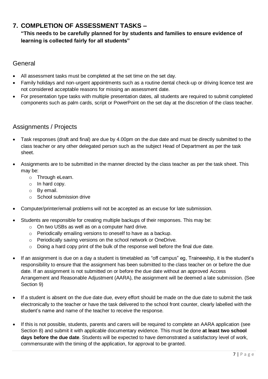#### **7. COMPLETION OF ASSESSMENT TASKS –**

#### **"This needs to be carefully planned for by students and families to ensure evidence of learning is collected fairly for all students"**

#### General

- All assessment tasks must be completed at the set time on the set day.
- Family holidays and non-urgent appointments such as a routine dental check-up or driving licence test are not considered acceptable reasons for missing an assessment date.
- For presentation type tasks with multiple presentation dates, all students are required to submit completed components such as palm cards, script or PowerPoint on the set day at the discretion of the class teacher.

#### Assignments / Projects

- Task responses (draft and final) are due by 4.00pm on the due date and must be directly submitted to the class teacher or any other delegated person such as the subject Head of Department as per the task sheet.
- Assignments are to be submitted in the manner directed by the class teacher as per the task sheet. This may be:
	- o Through eLearn.
	- o In hard copy.
	- o By email.
	- o School submission drive
- Computer/printer/email problems will not be accepted as an excuse for late submission.
	- Students are responsible for creating multiple backups of their responses. This may be:
		- o On two USBs as well as on a computer hard drive.
		- o Periodically emailing versions to oneself to have as a backup.
		- o Periodically saving versions on the school network or OneDrive.
		- $\circ$  Doing a hard copy print of the bulk of the response well before the final due date.
- If an assignment is due on a day a student is timetabled as "off campus" eg, Traineeship, it is the student's responsibility to ensure that the assignment has been submitted to the class teacher on or before the due date. If an assignment is not submitted on or before the due date without an approved Access Arrangement and Reasonable Adjustment (AARA), the assignment will be deemed a late submission. (See Section 9)
- If a student is absent on the due date due, every effort should be made on the due date to submit the task electronically to the teacher or have the task delivered to the school front counter, clearly labelled with the student's name and name of the teacher to receive the response.
- If this is not possible, students, parents and carers will be required to complete an AARA application (see Section 8) and submit it with applicable documentary evidence. This must be done **at least two school days before the due date**. Students will be expected to have demonstrated a satisfactory level of work, commensurate with the timing of the application, for approval to be granted.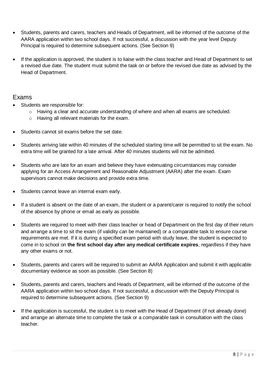- Students, parents and carers, teachers and Heads of Department, will be informed of the outcome of the AARA application within two school days. If not successful, a discussion with the year level Deputy Principal is required to determine subsequent actions. (See Section 9)
- If the application is approved, the student is to liaise with the class teacher and Head of Department to set a revised due date. The student must submit the task on or before the revised due date as advised by the Head of Department.

#### Exams

- Students are responsible for:
	- o Having a clear and accurate understanding of where and when all exams are scheduled.
	- o Having all relevant materials for the exam.
- Students cannot sit exams before the set date.
- Students arriving late within 40 minutes of the scheduled starting time will be permitted to sit the exam. No extra time will be granted for a late arrival. After 40 minutes students will not be admitted.
- Students who are late for an exam and believe they have extenuating circumstances may consider applying for an Access Arrangement and Reasonable Adjustment (AARA) after the exam. Exam supervisors cannot make decisions and provide extra time.
- Students cannot leave an internal exam early.
- If a student is absent on the date of an exam, the student or a parent/carer is required to notify the school of the absence by phone or email as early as possible.
- Students are required to meet with their class teacher or head of Department on the first day of their return and arrange a time to sit the exam (if validity can be maintained) or a comparable task to ensure course requirements are met. If it is during a specified exam period with study leave, the student is expected to come in to school on **the first school day after any medical certificate expires**, regardless if they have any other exams or not.
- Students, parents and carers will be required to submit an AARA Application and submit it with applicable documentary evidence as soon as possible. (See Section 8)
- Students, parents and carers, teachers and Heads of Department, will be informed of the outcome of the AARA application within two school days. If not successful, a discussion with the Deputy Principal is required to determine subsequent actions. (See Section 9)
- If the application is successful, the student is to meet with the Head of Department (if not already done) and arrange an alternate time to complete the task or a comparable task in consultation with the class teacher.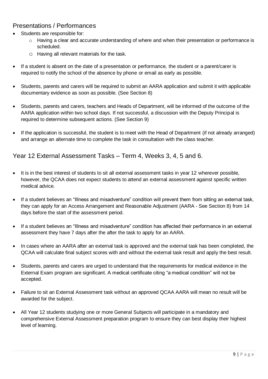#### Presentations / Performances

- Students are responsible for:
	- o Having a clear and accurate understanding of where and when their presentation or performance is scheduled.
	- o Having all relevant materials for the task.
- If a student is absent on the date of a presentation or performance, the student or a parent/carer is required to notify the school of the absence by phone or email as early as possible.
- Students, parents and carers will be required to submit an AARA application and submit it with applicable documentary evidence as soon as possible. (See Section 8)
- Students, parents and carers, teachers and Heads of Department, will be informed of the outcome of the AARA application within two school days. If not successful, a discussion with the Deputy Principal is required to determine subsequent actions. (See Section 9)
- If the application is successful, the student is to meet with the Head of Department (if not already arranged) and arrange an alternate time to complete the task in consultation with the class teacher.

Year 12 External Assessment Tasks – Term 4, Weeks 3, 4, 5 and 6.

- It is in the best interest of students to sit all external assessment tasks in year 12 wherever possible, however, the QCAA does not expect students to attend an external assessment against specific written medical advice.
- If a student believes an "Illness and misadventure" condition will prevent them from sitting an external task, they can apply for an Access Arrangement and Reasonable Adjustment (AARA - See Section 8) from 14 days before the start of the assessment period.
- If a student believes an "Illness and misadventure" condition has affected their performance in an external assessment they have 7 days after the after the task to apply for an AARA.
- In cases where an AARA after an external task is approved and the external task has been completed, the QCAA will calculate final subject scores with and without the external task result and apply the best result.
- Students, parents and carers are urged to understand that the requirements for medical evidence in the External Exam program are significant. A medical certificate citing "a medical condition" will not be accepted.
- Failure to sit an External Assessment task without an approved QCAA AARA will mean no result will be awarded for the subject.
- All Year 12 students studying one or more General Subjects will participate in a mandatory and comprehensive External Assessment preparation program to ensure they can best display their highest level of learning.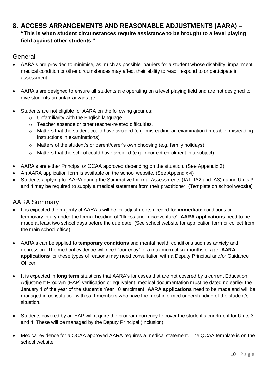#### **8. ACCESS ARRANGEMENTS AND REASONABLE ADJUSTMENTS (AARA) – "This is when student circumstances require assistance to be brought to a level playing field against other students."**

#### **General**

- AARA's are provided to minimise, as much as possible, barriers for a student whose disability, impairment, medical condition or other circumstances may affect their ability to read, respond to or participate in assessment.
- AARA's are designed to ensure all students are operating on a level playing field and are not designed to give students an unfair advantage.
- Students are not eligible for AARA on the following grounds:
	- o Unfamiliarity with the English language.
	- o Teacher absence or other teacher-related difficulties.
	- o Matters that the student could have avoided (e.g. misreading an examination timetable, misreading instructions in examinations)
	- o Matters of the student's or parent/carer's own choosing (e.g. family holidays)
	- o Matters that the school could have avoided (e.g. incorrect enrolment in a subject)
- AARA's are either Principal or QCAA approved depending on the situation. (See Appendix 3)
- An AARA application form is available on the school website. (See Appendix 4)
- Students applying for AARA during the Summative Internal Assessments (IA1, IA2 and IA3) during Units 3 and 4 may be required to supply a medical statement from their practitioner. (Template on school website)

#### AARA Summary

- It is expected the majority of AARA's will be for adjustments needed for **immediate** conditions or temporary injury under the formal heading of "Illness and misadventure". **AARA applications** need to be made at least two school days before the due date. (See school website for application form or collect from the main school office)
- AARA's can be applied to **temporary conditions** and mental health conditions such as anxiety and depression. The medical evidence will need "currency" of a maximum of six months of age. **AARA applications** for these types of reasons may need consultation with a Deputy Principal and/or Guidance Officer.
- It is expected in **long term** situations that AARA's for cases that are not covered by a current Education Adjustment Program (EAP) verification or equivalent, medical documentation must be dated no earlier the January 1 of the year of the student's Year 10 enrolment. **AARA applications** need to be made and will be managed in consultation with staff members who have the most informed understanding of the student's situation.
- Students covered by an EAP will require the program currency to cover the student's enrolment for Units 3 and 4. These will be managed by the Deputy Principal (Inclusion).
- Medical evidence for a QCAA approved AARA requires a medical statement. The QCAA template is on the school website.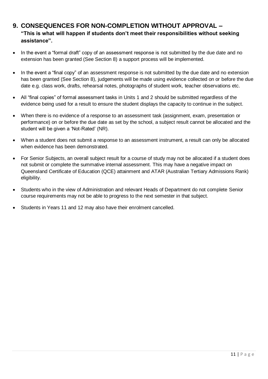#### **9. CONSEQUENCES FOR NON-COMPLETION WITHOUT APPROVAL – "This is what will happen if students don't meet their responsibilities without seeking assistance".**

- In the event a "formal draft" copy of an assessment response is not submitted by the due date and no extension has been granted (See Section 8) a support process will be implemented.
- In the event a "final copy" of an assessment response is not submitted by the due date and no extension has been granted (See Section 8), judgements will be made using evidence collected on or before the due date e.g. class work, drafts, rehearsal notes, photographs of student work, teacher observations etc.
- All "final copies" of formal assessment tasks in Units 1 and 2 should be submitted regardless of the evidence being used for a result to ensure the student displays the capacity to continue in the subject.
- When there is no evidence of a response to an assessment task (assignment, exam, presentation or performance) on or before the due date as set by the school, a subject result cannot be allocated and the student will be given a 'Not-Rated' (NR).
- When a student does not submit a response to an assessment instrument, a result can only be allocated when evidence has been demonstrated.
- For Senior Subjects, an overall subject result for a course of study may not be allocated if a student does not submit or complete the summative internal assessment. This may have a negative impact on Queensland Certificate of Education (QCE) attainment and ATAR (Australian Tertiary Admissions Rank) eligibility.
- Students who in the view of Administration and relevant Heads of Department do not complete Senior course requirements may not be able to progress to the next semester in that subject.
- Students in Years 11 and 12 may also have their enrolment cancelled.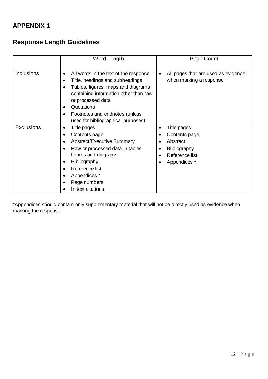#### **APPENDIX 1**

#### **Response Length Guidelines**

|                   | Word Length                                                                                                                                                                                                                                                                                  | Page Count                                                                                                           |
|-------------------|----------------------------------------------------------------------------------------------------------------------------------------------------------------------------------------------------------------------------------------------------------------------------------------------|----------------------------------------------------------------------------------------------------------------------|
| <b>Inclusions</b> | All words in the text of the response<br>$\bullet$<br>Title, headings and subheadings<br>Tables, figures, maps and diagrams<br>containing information other than raw<br>or processed data<br>Quotations<br>Footnotes and endnotes (unless<br>$\bullet$<br>used for bibliographical purposes) | All pages that are used as evidence<br>$\bullet$<br>when marking a response                                          |
| <b>Exclusions</b> | Title pages<br>$\bullet$<br>Contents page<br>$\bullet$<br><b>Abstract/Executive Summary</b><br>Raw or processed data in tables,<br>figures and diagrams<br><b>Bibliography</b><br>٠<br>Reference list<br>Appendices *<br>Page numbers<br>In text citations                                   | Title pages<br>$\bullet$<br>Contents page<br>Abstract<br>Bibliography<br>Reference list<br>$\bullet$<br>Appendices * |

\*Appendices should contain only supplementary material that will not be directly used as evidence when marking the response.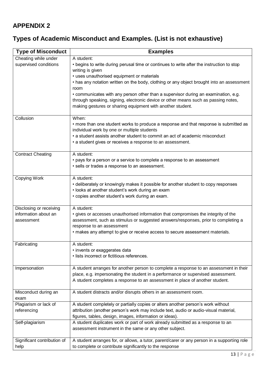#### **APPENDIX 2**

## **Types of Academic Misconduct and Examples. (List is not exhaustive)**

| <b>Type of Misconduct</b>   | <b>Examples</b>                                                                                                                      |  |  |
|-----------------------------|--------------------------------------------------------------------------------------------------------------------------------------|--|--|
| Cheating while under        | A student:                                                                                                                           |  |  |
| supervised conditions       | • begins to write during perusal time or continues to write after the instruction to stop                                            |  |  |
|                             | writing is given                                                                                                                     |  |  |
|                             | • uses unauthorised equipment or materials                                                                                           |  |  |
|                             | • has any notation written on the body, clothing or any object brought into an assessment<br>room                                    |  |  |
|                             | • communicates with any person other than a supervisor during an examination, e.g.                                                   |  |  |
|                             | through speaking, signing, electronic device or other means such as passing notes,                                                   |  |  |
|                             | making gestures or sharing equipment with another student.                                                                           |  |  |
|                             |                                                                                                                                      |  |  |
| Collusion                   | When:                                                                                                                                |  |  |
|                             | • more than one student works to produce a response and that response is submitted as<br>individual work by one or multiple students |  |  |
|                             | • a student assists another student to commit an act of academic misconduct                                                          |  |  |
|                             | • a student gives or receives a response to an assessment.                                                                           |  |  |
|                             |                                                                                                                                      |  |  |
| <b>Contract Cheating</b>    | A student:                                                                                                                           |  |  |
|                             | • pays for a person or a service to complete a response to an assessment                                                             |  |  |
|                             | · sells or trades a response to an assessment.                                                                                       |  |  |
| Copying Work                | A student:                                                                                                                           |  |  |
|                             | • deliberately or knowingly makes it possible for another student to copy responses                                                  |  |  |
|                             | • looks at another student's work during an exam                                                                                     |  |  |
|                             | • copies another student's work during an exam.                                                                                      |  |  |
| Disclosing or receiving     | A student:                                                                                                                           |  |  |
| information about an        | • gives or accesses unauthorised information that compromises the integrity of the                                                   |  |  |
| assessment                  | assessment, such as stimulus or suggested answers/responses, prior to completing a                                                   |  |  |
|                             | response to an assessment                                                                                                            |  |  |
|                             | • makes any attempt to give or receive access to secure assessment materials.                                                        |  |  |
| Fabricating                 | A student:                                                                                                                           |  |  |
|                             | • invents or exaggerates data                                                                                                        |  |  |
|                             | · lists incorrect or fictitious references.                                                                                          |  |  |
| Impersonation               | A student arranges for another person to complete a response to an assessment in their                                               |  |  |
|                             | place, e.g. impersonating the student in a performance or supervised assessment.                                                     |  |  |
|                             | A student completes a response to an assessment in place of another student.                                                         |  |  |
| Misconduct during an        | A student distracts and/or disrupts others in an assessment room.                                                                    |  |  |
| exam                        |                                                                                                                                      |  |  |
| Plagiarism or lack of       | A student completely or partially copies or alters another person's work without                                                     |  |  |
| referencing                 | attribution (another person's work may include text, audio or audio-visual material,                                                 |  |  |
|                             | figures, tables, design, images, information or ideas).                                                                              |  |  |
| Self-plagiarism             | A student duplicates work or part of work already submitted as a response to an                                                      |  |  |
|                             | assessment instrument in the same or any other subject.                                                                              |  |  |
| Significant contribution of | A student arranges for, or allows, a tutor, parent/carer or any person in a supporting role                                          |  |  |
| help                        | to complete or contribute significantly to the response                                                                              |  |  |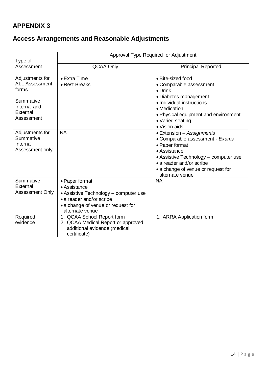### **APPENDIX 3**

## **Access Arrangements and Reasonable Adjustments**

| Type of                                                                                                  | Approval Type Required for Adjustment                                                                                                                        |                                                                                                                                                                                                                              |  |
|----------------------------------------------------------------------------------------------------------|--------------------------------------------------------------------------------------------------------------------------------------------------------------|------------------------------------------------------------------------------------------------------------------------------------------------------------------------------------------------------------------------------|--|
| Assessment                                                                                               | <b>QCAA Only</b>                                                                                                                                             | <b>Principal Reported</b>                                                                                                                                                                                                    |  |
| Adjustments for<br><b>ALL Assessment</b><br>forms<br>Summative<br>Internal and<br>External<br>Assessment | $\bullet$ Extra Time<br>• Rest Breaks                                                                                                                        | • Bite-sized food<br>• Comparable assessment<br>$\bullet$ Drink<br>· Diabetes management<br>• Individual instructions<br>• Medication<br>. Physical equipment and environment<br>• Varied seating<br>• Vision aids           |  |
| Adjustments for<br>Summative<br>Internal<br>Assessment only                                              | <b>NA</b>                                                                                                                                                    | • Extension – Assignments<br>• Comparable assessment - Exams<br>• Paper format<br>• Assistance<br>• Assistive Technology – computer use<br>• a reader and/or scribe<br>• a change of venue or request for<br>alternate venue |  |
| Summative<br>External<br><b>Assessment Only</b>                                                          | • Paper format<br>• Assistance<br>• Assistive Technology - computer use<br>• a reader and/or scribe<br>• a change of venue or request for<br>alternate venue | <b>NA</b>                                                                                                                                                                                                                    |  |
| Required<br>evidence                                                                                     | 1. QCAA School Report form<br>2. QCAA Medical Report or approved<br>additional evidence (medical<br>certificate)                                             | 1. ARRA Application form                                                                                                                                                                                                     |  |